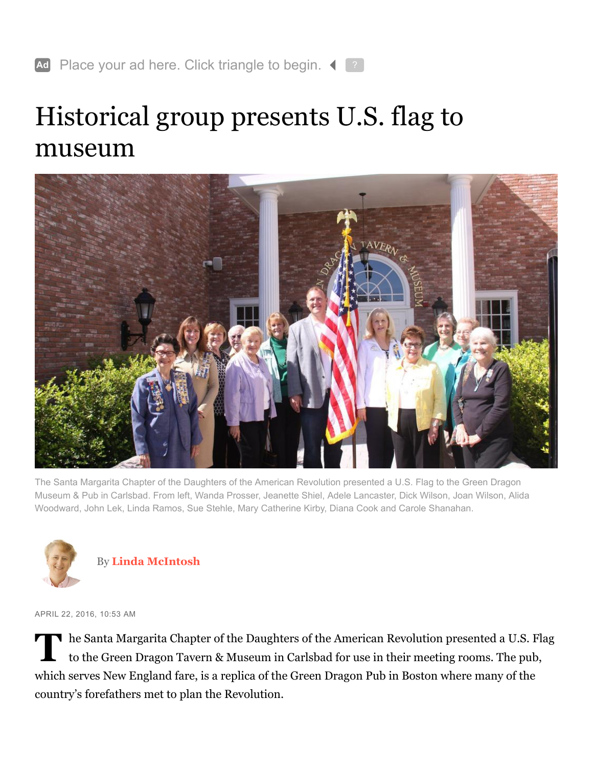## <span id="page-0-0"></span>Historical group presents U.S. flag to museum



The Santa Margarita Chapter of the Daughters of the American Revolution presented a U.S. Flag to the Green Dragon Museum & Pub in Carlsbad. From left, Wanda Prosser, Jeanette Shiel, Adele Lancaster, Dick Wilson, Joan Wilson, Alida Woodward, John Lek, Linda Ramos, Sue Stehle, Mary Catherine Kirby, Diana Cook and Carole Shanahan.



By **[Linda McIntosh](http://www.sandiegouniontribune.com/sdut-linda-mcintosh-staff.html#nt=byline)**

APRIL 22, 2016, 10:53 AM

The Santa Margarita Chapter of the Daughters of the American Revolution presented a U.S. Flag<br>to the Green Dragon Tavern & Museum in Carlsbad for use in their meeting rooms. The pub, to the Green Dragon Tavern & Museum in Carlsbad for use in their meeting rooms. The pub, which serves New England fare, is a replica of the Green Dragon Pub in Boston where many of the country's forefathers met to plan the Revolution.